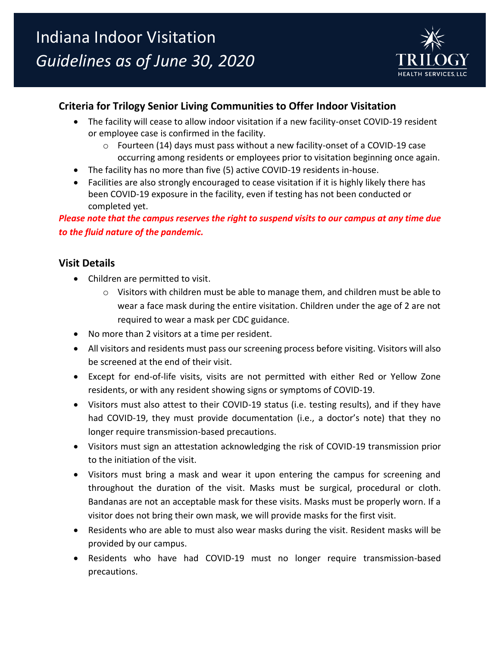

# **Criteria for Trilogy Senior Living Communities to Offer Indoor Visitation**

- The facility will cease to allow indoor visitation if a new facility-onset COVID-19 resident or employee case is confirmed in the facility.
	- $\circ$  Fourteen (14) days must pass without a new facility-onset of a COVID-19 case occurring among residents or employees prior to visitation beginning once again.
- The facility has no more than five (5) active COVID-19 residents in-house.
- Facilities are also strongly encouraged to cease visitation if it is highly likely there has been COVID-19 exposure in the facility, even if testing has not been conducted or completed yet.

*Please note that the campus reserves the right to suspend visits to our campus at any time due to the fluid nature of the pandemic.*

# **Visit Details**

- Children are permitted to visit.
	- $\circ$  Visitors with children must be able to manage them, and children must be able to wear a face mask during the entire visitation. Children under the age of 2 are not required to wear a mask per CDC guidance.
- No more than 2 visitors at a time per resident.
- All visitors and residents must pass our screening process before visiting. Visitors will also be screened at the end of their visit.
- Except for end-of-life visits, visits are not permitted with either Red or Yellow Zone residents, or with any resident showing signs or symptoms of COVID-19.
- Visitors must also attest to their COVID-19 status (i.e. testing results), and if they have had COVID-19, they must provide documentation (i.e., a doctor's note) that they no longer require transmission-based precautions.
- Visitors must sign an attestation acknowledging the risk of COVID-19 transmission prior to the initiation of the visit.
- Visitors must bring a mask and wear it upon entering the campus for screening and throughout the duration of the visit. Masks must be surgical, procedural or cloth. Bandanas are not an acceptable mask for these visits. Masks must be properly worn. If a visitor does not bring their own mask, we will provide masks for the first visit.
- Residents who are able to must also wear masks during the visit. Resident masks will be provided by our campus.
- Residents who have had COVID-19 must no longer require transmission-based precautions.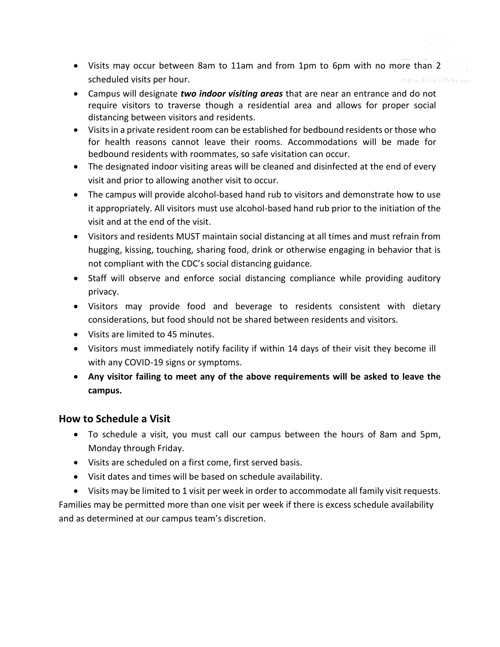- Visits may occur between 8am to 11am and from 1pm to 6pm with no more than 2 scheduled visits per hour.
- Campus will designate *two indoor visiting areas* that are near an entrance and do not require visitors to traverse though a residential area and allows for proper social distancing between visitors and residents.
- Visits in a private resident room can be established for bedbound residents or those who for health reasons cannot leave their rooms. Accommodations will be made for bedbound residents with roommates, so safe visitation can occur.
- The designated indoor visiting areas will be cleaned and disinfected at the end of every visit and prior to allowing another visit to occur.
- The campus will provide alcohol-based hand rub to visitors and demonstrate how to use it appropriately. All visitors must use alcohol-based hand rub prior to the initiation of the visit and at the end of the visit.
- Visitors and residents MUST maintain social distancing at all times and must refrain from hugging, kissing, touching, sharing food, drink or otherwise engaging in behavior that is not compliant with the CDC's social distancing guidance.
- Staff will observe and enforce social distancing compliance while providing auditory privacy.
- Visitors may provide food and beverage to residents consistent with dietary considerations, but food should not be shared between residents and visitors.
- Visits are limited to 45 minutes.
- Visitors must immediately notify facility if within 14 days of their visit they become ill with any COVID-19 signs or symptoms.
- **Any visitor failing to meet any of the above requirements will be asked to leave the campus.**

#### **How to Schedule a Visit**

- To schedule a visit, you must call our campus between the hours of 8am and 5pm, Monday through Friday.
- Visits are scheduled on a first come, first served basis.
- Visit dates and times will be based on schedule availability.

• Visits may be limited to 1 visit per week in order to accommodate all family visit requests. Families may be permitted more than one visit per week if there is excess schedule availability and as determined at our campus team's discretion.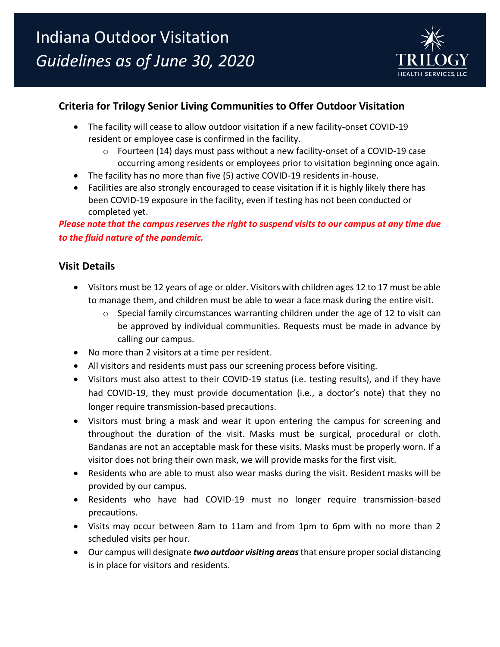

# **Criteria for Trilogy Senior Living Communities to Offer Outdoor Visitation**

- The facility will cease to allow outdoor visitation if a new facility-onset COVID-19 resident or employee case is confirmed in the facility.
	- $\circ$  Fourteen (14) days must pass without a new facility-onset of a COVID-19 case occurring among residents or employees prior to visitation beginning once again.
- The facility has no more than five (5) active COVID-19 residents in-house.
- Facilities are also strongly encouraged to cease visitation if it is highly likely there has been COVID-19 exposure in the facility, even if testing has not been conducted or completed yet.

*Please note that the campus reserves the right to suspend visits to our campus at any time due to the fluid nature of the pandemic.*

# **Visit Details**

- Visitors must be 12 years of age or older. Visitors with children ages 12 to 17 must be able to manage them, and children must be able to wear a face mask during the entire visit.
	- $\circ$  Special family circumstances warranting children under the age of 12 to visit can be approved by individual communities. Requests must be made in advance by calling our campus.
- No more than 2 visitors at a time per resident.
- All visitors and residents must pass our screening process before visiting.
- Visitors must also attest to their COVID-19 status (i.e. testing results), and if they have had COVID-19, they must provide documentation (i.e., a doctor's note) that they no longer require transmission-based precautions.
- Visitors must bring a mask and wear it upon entering the campus for screening and throughout the duration of the visit. Masks must be surgical, procedural or cloth. Bandanas are not an acceptable mask for these visits. Masks must be properly worn. If a visitor does not bring their own mask, we will provide masks for the first visit.
- Residents who are able to must also wear masks during the visit. Resident masks will be provided by our campus.
- Residents who have had COVID-19 must no longer require transmission-based precautions.
- Visits may occur between 8am to 11am and from 1pm to 6pm with no more than 2 scheduled visits per hour.
- Our campus will designate *two outdoor visiting areas*that ensure proper social distancing is in place for visitors and residents.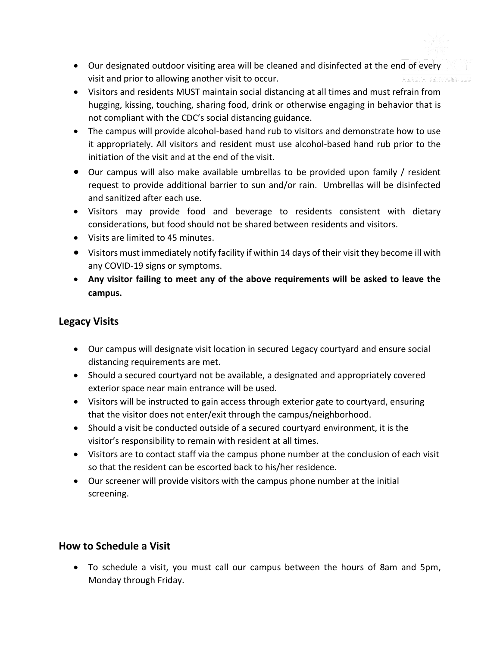- Our designated outdoor visiting area will be cleaned and disinfected at the end of every visit and prior to allowing another visit to occur.
- Visitors and residents MUST maintain social distancing at all times and must refrain from hugging, kissing, touching, sharing food, drink or otherwise engaging in behavior that is not compliant with the CDC's social distancing guidance.
- The campus will provide alcohol-based hand rub to visitors and demonstrate how to use it appropriately. All visitors and resident must use alcohol-based hand rub prior to the initiation of the visit and at the end of the visit.
- Our campus will also make available umbrellas to be provided upon family / resident request to provide additional barrier to sun and/or rain. Umbrellas will be disinfected and sanitized after each use.
- Visitors may provide food and beverage to residents consistent with dietary considerations, but food should not be shared between residents and visitors.
- Visits are limited to 45 minutes.
- Visitors must immediately notify facility if within 14 days of their visit they become ill with any COVID-19 signs or symptoms.
- **Any visitor failing to meet any of the above requirements will be asked to leave the campus.**

## **Legacy Visits**

- Our campus will designate visit location in secured Legacy courtyard and ensure social distancing requirements are met.
- Should a secured courtyard not be available, a designated and appropriately covered exterior space near main entrance will be used.
- Visitors will be instructed to gain access through exterior gate to courtyard, ensuring that the visitor does not enter/exit through the campus/neighborhood.
- Should a visit be conducted outside of a secured courtyard environment, it is the visitor's responsibility to remain with resident at all times.
- Visitors are to contact staff via the campus phone number at the conclusion of each visit so that the resident can be escorted back to his/her residence.
- Our screener will provide visitors with the campus phone number at the initial screening.

### **How to Schedule a Visit**

• To schedule a visit, you must call our campus between the hours of 8am and 5pm, Monday through Friday.